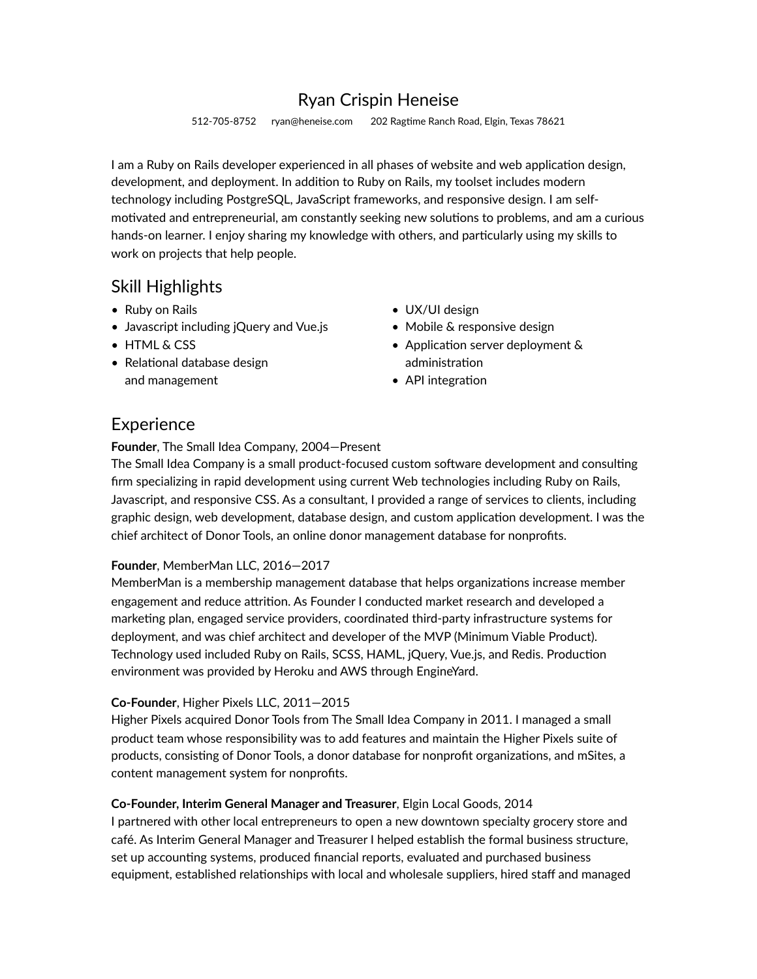# Ryan Crispin Heneise

512-705-8752 ryan@heneise.com 202 Ragtime Ranch Road, Elgin, Texas 78621

I am a Ruby on Rails developer experienced in all phases of website and web application design, development, and deployment. In addition to Ruby on Rails, my toolset includes modern technology including PostgreSQL, JavaScript frameworks, and responsive design. I am selfmotivated and entrepreneurial, am constantly seeking new solutions to problems, and am a curious hands-on learner. I enjoy sharing my knowledge with others, and particularly using my skills to work on projects that help people.

# Skill Highlights

- Ruby on Rails
- Javascript including jQuery and Vue.js
- HTML & CSS
- $\bullet$  Relational database design and management
- UX/UI design
- Mobile & responsive design
- Application server deployment  $\&$ administration
- API integration

## **Experience**

#### **Founder**, The Small Idea Company, 2004—Present

The Small Idea Company is a small product-focused custom software development and consulting firm specializing in rapid development using current Web technologies including Ruby on Rails, Javascript, and responsive CSS. As a consultant, I provided a range of services to clients, including graphic design, web development, database design, and custom application development. I was the chief architect of Donor Tools, an online donor management database for nonprofits.

#### **Founder**, MemberMan LLC, 2016—2017

MemberMan is a membership management database that helps organizations increase member engagement and reduce attrition. As Founder I conducted market research and developed a marketing plan, engaged service providers, coordinated third-party infrastructure systems for deployment, and was chief architect and developer of the MVP (Minimum Viable Product). Technology used included Ruby on Rails, SCSS, HAML, jQuery, Vue.js, and Redis. Production environment was provided by Heroku and AWS through EngineYard.

#### **Co-Founder**, Higher Pixels LLC, 2011—2015

Higher Pixels acquired Donor Tools from The Small Idea Company in 2011. I managed a small product team whose responsibility was to add features and maintain the Higher Pixels suite of products, consisting of Donor Tools, a donor database for nonprofit organizations, and mSites, a content management system for nonprofits.

### **Co-Founder, Interim General Manager and Treasurer**, Elgin Local Goods, 2014

I partnered with other local entrepreneurs to open a new downtown specialty grocery store and café. As Interim General Manager and Treasurer I helped establish the formal business structure, set up accounting systems, produced financial reports, evaluated and purchased business equipment, established relationships with local and wholesale suppliers, hired staff and managed